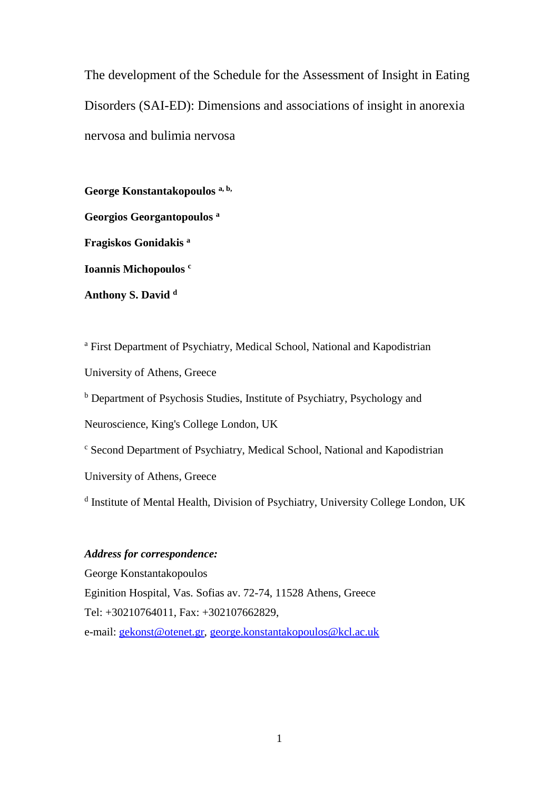The development of the Schedule for the Assessment of Insight in Eating Disorders (SAI-ED): Dimensions and associations of insight in anorexia nervosa and bulimia nervosa

**George Konstantakopoulos a, b, Georgios Georgantopoulos <sup>a</sup> Fragiskos Gonidakis <sup>a</sup> Ioannis Michopoulos <sup>c</sup> Anthony S. David <sup>d</sup>**

<sup>a</sup> First Department of Psychiatry, Medical School, National and Kapodistrian University of Athens, Greece

<sup>b</sup> Department of Psychosis Studies, Institute of Psychiatry, Psychology and

Neuroscience, King's College London, UK

<sup>c</sup> Second Department of Psychiatry, Medical School, National and Kapodistrian

University of Athens, Greece

<sup>d</sup> Institute of Mental Health, Division of Psychiatry, University College London, UK

## *Address for correspondence:*

George Konstantakopoulos Eginition Hospital, Vas. Sofias av. 72-74, 11528 Athens, Greece Tel: +30210764011, Fax: +302107662829, e-mail: [gekonst@otenet.gr,](mailto:gekonst@otenet.gr) [george.konstantakopoulos@kcl.ac.uk](mailto:george.konstantakopoulos@kcl.ac.uk)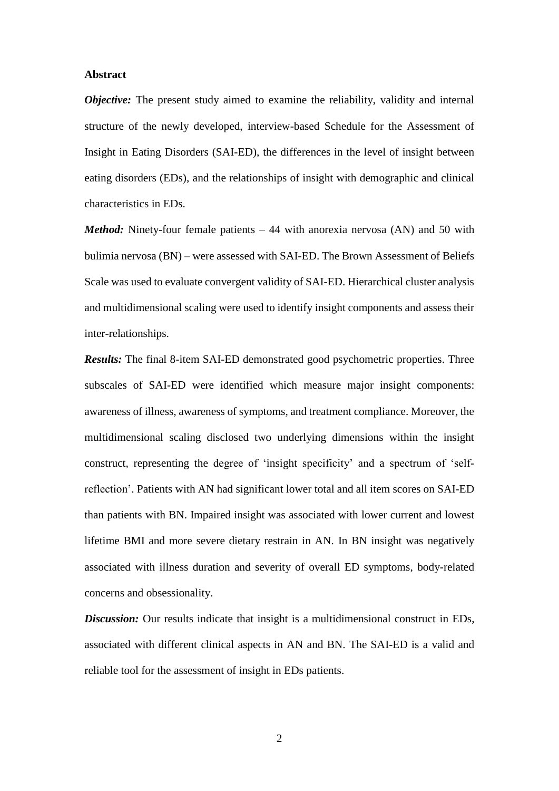### **Abstract**

*Objective:* The present study aimed to examine the reliability, validity and internal structure of the newly developed, interview-based Schedule for the Assessment of Insight in Eating Disorders (SAI-ED), the differences in the level of insight between eating disorders (EDs), and the relationships of insight with demographic and clinical characteristics in EDs.

*Method:* Ninety-four female patients – 44 with anorexia nervosa (AN) and 50 with bulimia nervosa (BN) – were assessed with SAI-ED. The Brown Assessment of Beliefs Scale was used to evaluate convergent validity of SAI-ED. Hierarchical cluster analysis and multidimensional scaling were used to identify insight components and assess their inter-relationships.

*Results:* The final 8-item SAI-ED demonstrated good psychometric properties. Three subscales of SAI-ED were identified which measure major insight components: awareness of illness, awareness of symptoms, and treatment compliance. Moreover, the multidimensional scaling disclosed two underlying dimensions within the insight construct, representing the degree of 'insight specificity' and a spectrum of 'selfreflection'. Patients with AN had significant lower total and all item scores on SAI-ED than patients with BN. Impaired insight was associated with lower current and lowest lifetime BMI and more severe dietary restrain in AN. In BN insight was negatively associated with illness duration and severity of overall ED symptoms, body-related concerns and obsessionality.

*Discussion:* Our results indicate that insight is a multidimensional construct in EDs, associated with different clinical aspects in AN and BN. The SAI-ED is a valid and reliable tool for the assessment of insight in EDs patients.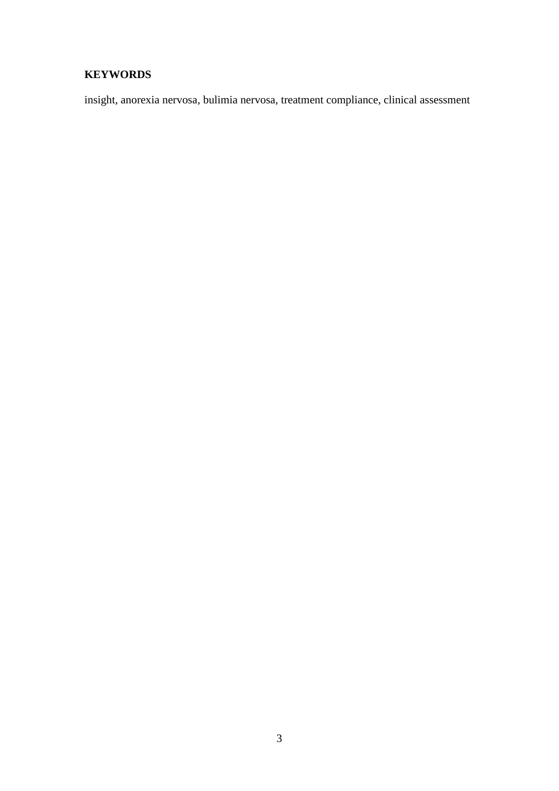# **KEYWORDS**

insight, anorexia nervosa, bulimia nervosa, treatment compliance, clinical assessment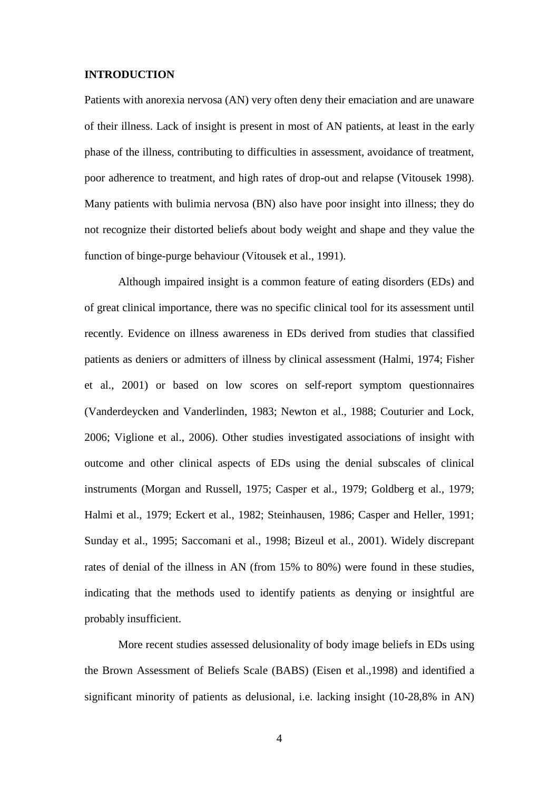#### **INTRODUCTION**

Patients with anorexia nervosa (AN) very often deny their emaciation and are unaware of their illness. Lack of insight is present in most of AN patients, at least in the early phase of the illness, contributing to difficulties in assessment, avoidance of treatment, poor adherence to treatment, and high rates of drop-out and relapse (Vitousek 1998). Many patients with bulimia nervosa (BN) also have poor insight into illness; they do not recognize their distorted beliefs about body weight and shape and they value the function of binge-purge behaviour (Vitousek et al., 1991).

Although impaired insight is a common feature of eating disorders (EDs) and of great clinical importance, there was no specific clinical tool for its assessment until recently. Evidence on illness awareness in EDs derived from studies that classified patients as deniers or admitters of illness by clinical assessment (Halmi, 1974; Fisher et al., 2001) or based on low scores on self-report symptom questionnaires (Vanderdeycken and Vanderlinden, 1983; Newton et al., 1988; Couturier and Lock, 2006; Viglione et al., 2006). Other studies investigated associations of insight with outcome and other clinical aspects of EDs using the denial subscales of clinical instruments (Morgan and Russell, 1975; Casper et al., 1979; Goldberg et al., 1979; Halmi et al., 1979; Eckert et al., 1982; Steinhausen, 1986; Casper and Heller, 1991; Sunday et al., 1995; Saccomani et al., 1998; Bizeul et al., 2001). Widely discrepant rates of denial of the illness in AN (from 15% to 80%) were found in these studies, indicating that the methods used to identify patients as denying or insightful are probably insufficient.

More recent studies assessed delusionality of body image beliefs in EDs using the Brown Assessment of Beliefs Scale (BABS) (Eisen et al.,1998) and identified a significant minority of patients as delusional, i.e. lacking insight (10-28,8% in AN)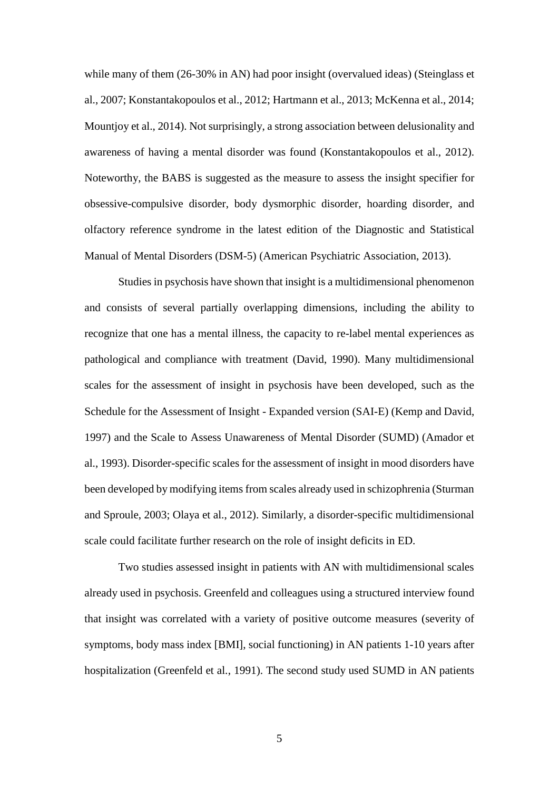while many of them (26-30% in AN) had poor insight (overvalued ideas) (Steinglass et al., 2007; Konstantakopoulos et al., 2012; Hartmann et al., 2013; McKenna et al., 2014; Mountjoy et al., 2014). Not surprisingly, a strong association between delusionality and awareness of having a mental disorder was found (Konstantakopoulos et al., 2012). Noteworthy, the BABS is suggested as the measure to assess the insight specifier for obsessive-compulsive disorder, body dysmorphic disorder, hoarding disorder, and olfactory reference syndrome in the latest edition of the Diagnostic and Statistical Manual of Mental Disorders (DSM-5) (American Psychiatric Association, 2013).

Studies in psychosis have shown that insight is a multidimensional phenomenon and consists of several partially overlapping dimensions, including the ability to recognize that one has a mental illness, the capacity to re-label mental experiences as pathological and compliance with treatment (David, 1990). Many multidimensional scales for the assessment of insight in psychosis have been developed, such as the Schedule for the Assessment of Insight - Expanded version (SAI-E) (Kemp and David, 1997) and the Scale to Assess Unawareness of Mental Disorder (SUMD) (Amador et al., 1993). Disorder-specific scales for the assessment of insight in mood disorders have been developed by modifying items from scales already used in schizophrenia (Sturman and Sproule, 2003; Olaya et al., 2012). Similarly, a disorder-specific multidimensional scale could facilitate further research on the role of insight deficits in ED.

Two studies assessed insight in patients with AN with multidimensional scales already used in psychosis. Greenfeld and colleagues using a structured interview found that insight was correlated with a variety of positive outcome measures (severity of symptoms, body mass index [BMI], social functioning) in AN patients 1-10 years after hospitalization (Greenfeld et al., 1991). The second study used SUMD in AN patients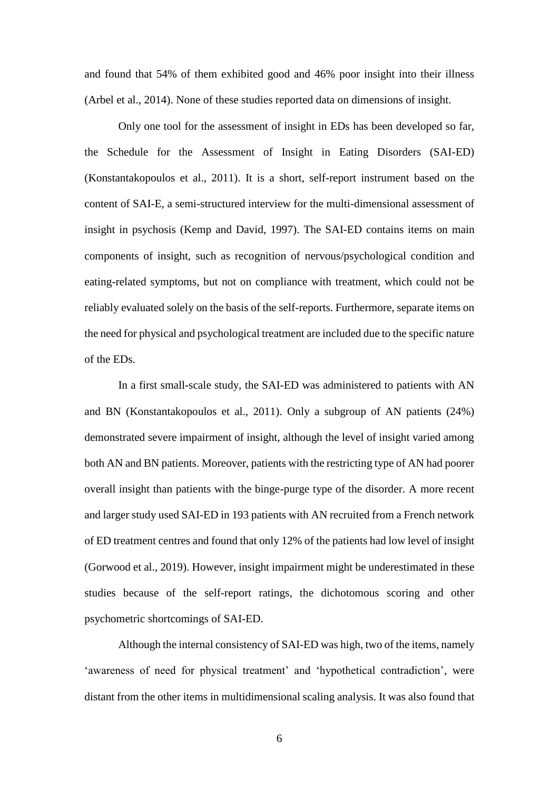and found that 54% of them exhibited good and 46% poor insight into their illness (Arbel et al., 2014). None of these studies reported data on dimensions of insight.

Only one tool for the assessment of insight in EDs has been developed so far, the Schedule for the Assessment of Insight in Eating Disorders (SAI-ED) (Konstantakopoulos et al., 2011). It is a short, self-report instrument based on the content of SAI-E, a semi-structured interview for the multi-dimensional assessment of insight in psychosis (Kemp and David, 1997). The SAI-ED contains items on main components of insight, such as recognition of nervous/psychological condition and eating-related symptoms, but not on compliance with treatment, which could not be reliably evaluated solely on the basis of the self-reports. Furthermore, separate items on the need for physical and psychological treatment are included due to the specific nature of the EDs.

In a first small-scale study, the SAI-ED was administered to patients with AN and BN (Konstantakopoulos et al., 2011). Only a subgroup of AN patients (24%) demonstrated severe impairment of insight, although the level of insight varied among both AN and BN patients. Moreover, patients with the restricting type of AN had poorer overall insight than patients with the binge-purge type of the disorder. A more recent and larger study used SAI-ED in 193 patients with AN recruited from a French network of ED treatment centres and found that only 12% of the patients had low level of insight (Gorwood et al., 2019). However, insight impairment might be underestimated in these studies because of the self-report ratings, the dichotomous scoring and other psychometric shortcomings of SAI-ED.

Although the internal consistency of SAI-ED was high, two of the items, namely 'awareness of need for physical treatment' and 'hypothetical contradiction', were distant from the other items in multidimensional scaling analysis. It was also found that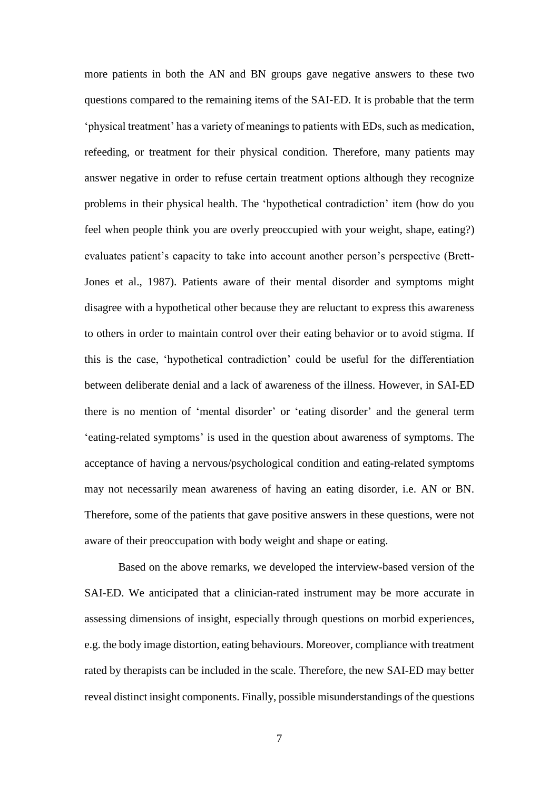more patients in both the AN and BN groups gave negative answers to these two questions compared to the remaining items of the SAI-ED. It is probable that the term 'physical treatment' has a variety of meanings to patients with EDs, such as medication, refeeding, or treatment for their physical condition. Therefore, many patients may answer negative in order to refuse certain treatment options although they recognize problems in their physical health. The 'hypothetical contradiction' item (how do you feel when people think you are overly preoccupied with your weight, shape, eating?) evaluates patient's capacity to take into account another person's perspective (Brett-Jones et al., 1987). Patients aware of their mental disorder and symptoms might disagree with a hypothetical other because they are reluctant to express this awareness to others in order to maintain control over their eating behavior or to avoid stigma. If this is the case, 'hypothetical contradiction' could be useful for the differentiation between deliberate denial and a lack of awareness of the illness. However, in SAI-ED there is no mention of 'mental disorder' or 'eating disorder' and the general term 'eating-related symptoms' is used in the question about awareness of symptoms. The acceptance of having a nervous/psychological condition and eating-related symptoms may not necessarily mean awareness of having an eating disorder, i.e. AN or BN. Therefore, some of the patients that gave positive answers in these questions, were not aware of their preoccupation with body weight and shape or eating.

Based on the above remarks, we developed the interview-based version of the SAI-ED. We anticipated that a clinician-rated instrument may be more accurate in assessing dimensions of insight, especially through questions on morbid experiences, e.g. the body image distortion, eating behaviours. Moreover, compliance with treatment rated by therapists can be included in the scale. Therefore, the new SAI-ED may better reveal distinct insight components. Finally, possible misunderstandings of the questions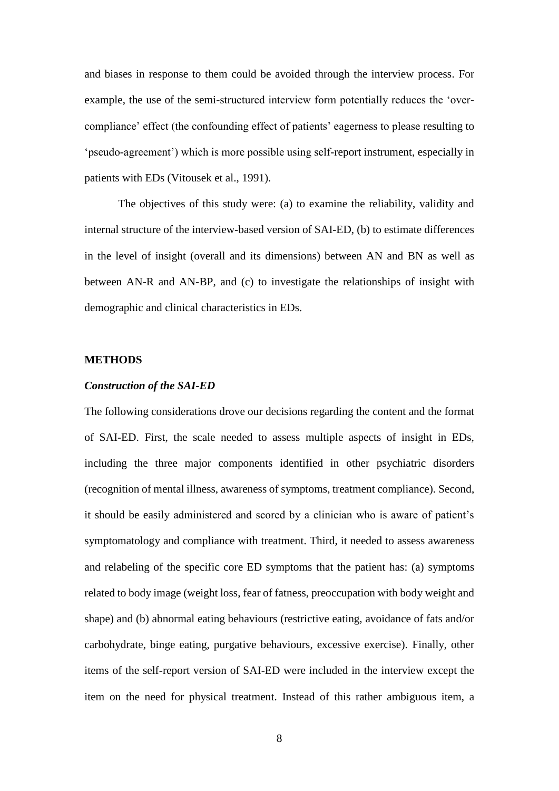and biases in response to them could be avoided through the interview process. For example, the use of the semi-structured interview form potentially reduces the 'overcompliance' effect (the confounding effect of patients' eagerness to please resulting to 'pseudo-agreement') which is more possible using self-report instrument, especially in patients with EDs (Vitousek et al., 1991).

The objectives of this study were: (a) to examine the reliability, validity and internal structure of the interview-based version of SAI-ED, (b) to estimate differences in the level of insight (overall and its dimensions) between AN and BN as well as between AN-R and AN-BP, and (c) to investigate the relationships of insight with demographic and clinical characteristics in EDs.

#### **METHODS**

#### *Construction of the SAI-ED*

The following considerations drove our decisions regarding the content and the format of SAI-ED. First, the scale needed to assess multiple aspects of insight in EDs, including the three major components identified in other psychiatric disorders (recognition of mental illness, awareness of symptoms, treatment compliance). Second, it should be easily administered and scored by a clinician who is aware of patient's symptomatology and compliance with treatment. Third, it needed to assess awareness and relabeling of the specific core ED symptoms that the patient has: (a) symptoms related to body image (weight loss, fear of fatness, preoccupation with body weight and shape) and (b) abnormal eating behaviours (restrictive eating, avoidance of fats and/or carbohydrate, binge eating, purgative behaviours, excessive exercise). Finally, other items of the self-report version of SAI-ED were included in the interview except the item on the need for physical treatment. Instead of this rather ambiguous item, a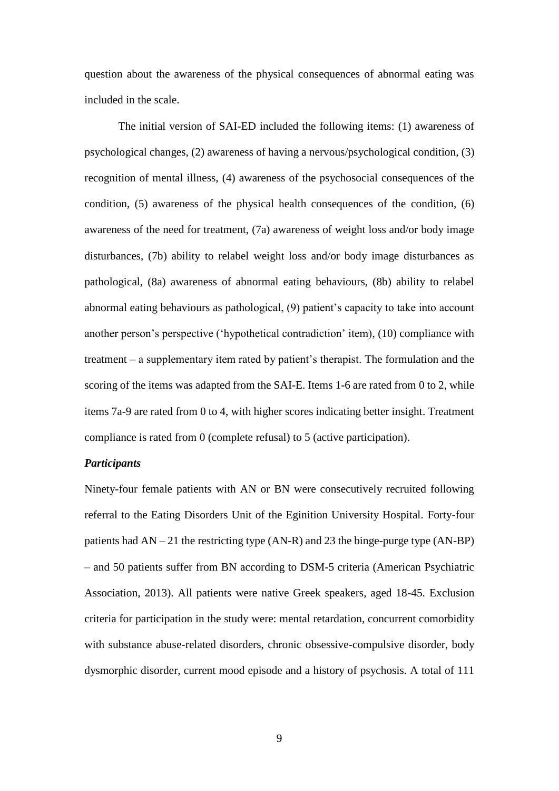question about the awareness of the physical consequences of abnormal eating was included in the scale.

The initial version of SAI-ED included the following items: (1) awareness of psychological changes, (2) awareness of having a nervous/psychological condition, (3) recognition of mental illness, (4) awareness of the psychosocial consequences of the condition, (5) awareness of the physical health consequences of the condition, (6) awareness of the need for treatment, (7a) awareness of weight loss and/or body image disturbances, (7b) ability to relabel weight loss and/or body image disturbances as pathological, (8a) awareness of abnormal eating behaviours, (8b) ability to relabel abnormal eating behaviours as pathological, (9) patient's capacity to take into account another person's perspective ('hypothetical contradiction' item), (10) compliance with treatment – a supplementary item rated by patient's therapist. The formulation and the scoring of the items was adapted from the SAI-E. Items 1-6 are rated from 0 to 2, while items 7a-9 are rated from 0 to 4, with higher scores indicating better insight. Treatment compliance is rated from 0 (complete refusal) to 5 (active participation).

#### *Participants*

Ninety-four female patients with AN or BN were consecutively recruited following referral to the Eating Disorders Unit of the Eginition University Hospital. Forty-four patients had AN – 21 the restricting type (AN-R) and 23 the binge-purge type (AN-BP) – and 50 patients suffer from BN according to DSM-5 criteria (American Psychiatric Association, 2013). All patients were native Greek speakers, aged 18-45. Exclusion criteria for participation in the study were: mental retardation, concurrent comorbidity with substance abuse-related disorders, chronic obsessive-compulsive disorder, body dysmorphic disorder, current mood episode and a history of psychosis. A total of 111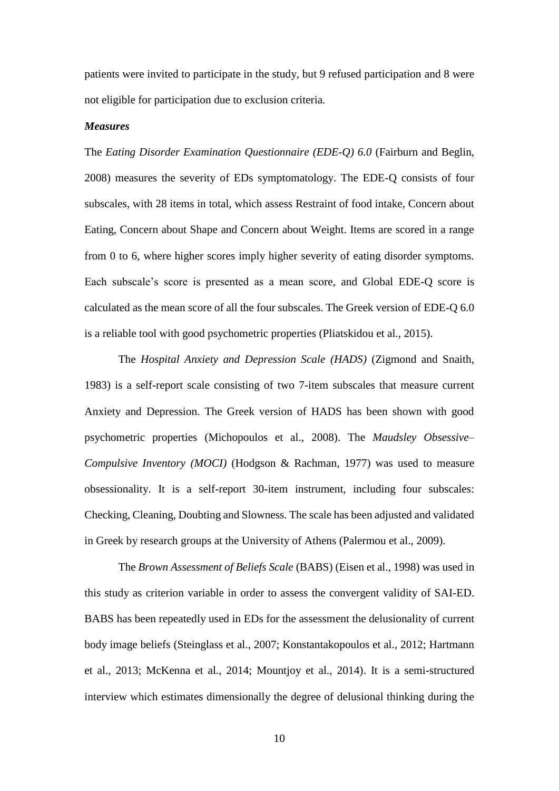patients were invited to participate in the study, but 9 refused participation and 8 were not eligible for participation due to exclusion criteria.

#### *Measures*

The *Eating Disorder Examination Questionnaire (EDE-Q) 6.0* (Fairburn and Beglin, 2008) measures the severity of EDs symptomatology. The EDE-Q consists of four subscales, with 28 items in total, which assess Restraint of food intake, Concern about Eating, Concern about Shape and Concern about Weight. Items are scored in a range from 0 to 6, where higher scores imply higher severity of eating disorder symptoms. Each subscale's score is presented as a mean score, and Global EDE-Q score is calculated as the mean score of all the four subscales. The Greek version of EDE-Q 6.0 is a reliable tool with good psychometric properties (Pliatskidou et al., 2015).

The *Hospital Anxiety and Depression Scale (HADS)* (Zigmond and Snaith, 1983) is a self-report scale consisting of two 7-item subscales that measure current Anxiety and Depression. The Greek version of HADS has been shown with good psychometric properties (Michopoulos et al., 2008). The *Maudsley Obsessive– Compulsive Inventory (MOCI)* (Hodgson & Rachman, 1977) was used to measure obsessionality. It is a self-report 30-item instrument, including four subscales: Checking, Cleaning, Doubting and Slowness. The scale has been adjusted and validated in Greek by research groups at the University of Athens (Palermou et al., 2009).

The *Brown Assessment of Beliefs Scale* (BABS) (Eisen et al., 1998) was used in this study as criterion variable in order to assess the convergent validity of SAI-ED. BABS has been repeatedly used in EDs for the assessment the delusionality of current body image beliefs (Steinglass et al., 2007; Konstantakopoulos et al., 2012; Hartmann et al., 2013; McKenna et al., 2014; Mountjoy et al., 2014). It is a semi-structured interview which estimates dimensionally the degree of delusional thinking during the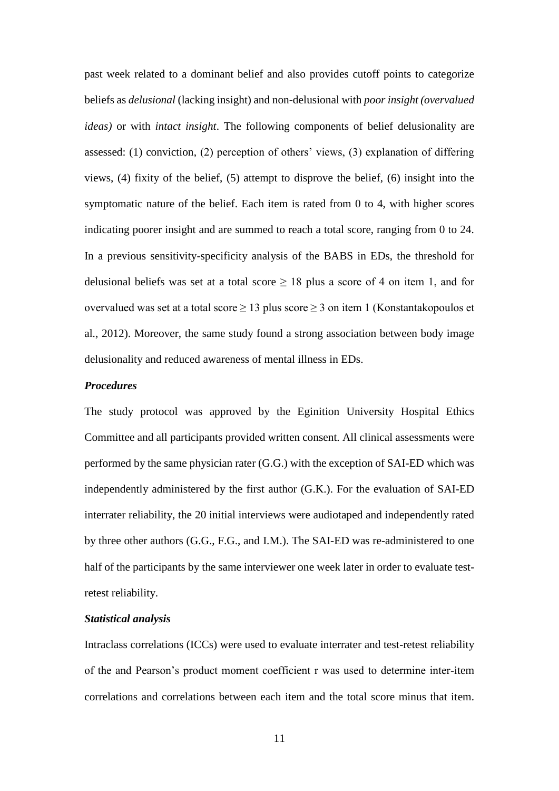past week related to a dominant belief and also provides cutoff points to categorize beliefs as *delusional* (lacking insight) and non-delusional with *poor insight (overvalued ideas)* or with *intact insight*. The following components of belief delusionality are assessed: (1) conviction, (2) perception of others' views, (3) explanation of differing views, (4) fixity of the belief, (5) attempt to disprove the belief, (6) insight into the symptomatic nature of the belief. Each item is rated from 0 to 4, with higher scores indicating poorer insight and are summed to reach a total score, ranging from 0 to 24. In a previous sensitivity-specificity analysis of the BABS in EDs, the threshold for delusional beliefs was set at a total score  $\geq 18$  plus a score of 4 on item 1, and for overvalued was set at a total score  $\geq 13$  plus score  $\geq 3$  on item 1 (Konstantakopoulos et al., 2012). Moreover, the same study found a strong association between body image delusionality and reduced awareness of mental illness in EDs.

## *Procedures*

The study protocol was approved by the Eginition University Hospital Ethics Committee and all participants provided written consent. All clinical assessments were performed by the same physician rater (G.G.) with the exception of SAI-ED which was independently administered by the first author (G.K.). For the evaluation of SAI-ED interrater reliability, the 20 initial interviews were audiotaped and independently rated by three other authors (G.G., F.G., and I.M.). The SAI-ED was re-administered to one half of the participants by the same interviewer one week later in order to evaluate testretest reliability.

#### *Statistical analysis*

Intraclass correlations (ICCs) were used to evaluate interrater and test-retest reliability of the and Pearson's product moment coefficient r was used to determine inter-item correlations and correlations between each item and the total score minus that item.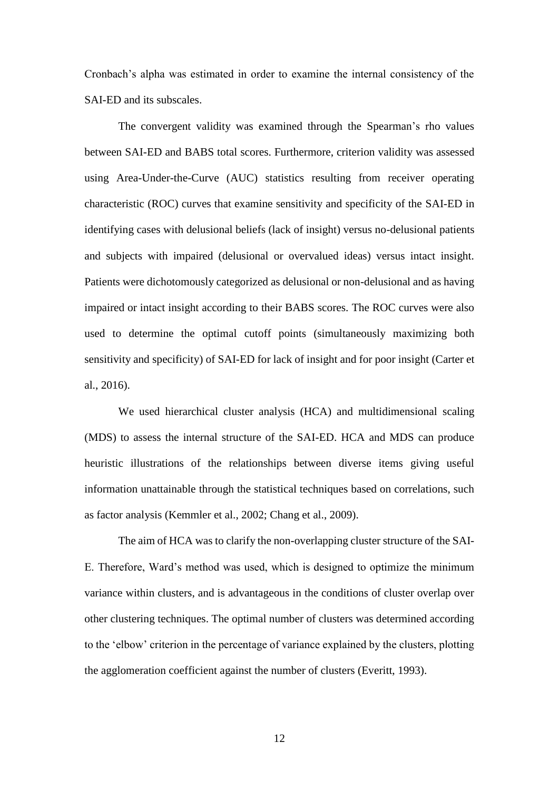Cronbach's alpha was estimated in order to examine the internal consistency of the SAI-ED and its subscales.

The convergent validity was examined through the Spearman's rho values between SAI-ED and BABS total scores. Furthermore, criterion validity was assessed using Area-Under-the-Curve (AUC) statistics resulting from receiver operating characteristic (ROC) curves that examine sensitivity and specificity of the SAI-ED in identifying cases with delusional beliefs (lack of insight) versus no-delusional patients and subjects with impaired (delusional or overvalued ideas) versus intact insight. Patients were dichotomously categorized as delusional or non-delusional and as having impaired or intact insight according to their BABS scores. The ROC curves were also used to determine the optimal cutoff points (simultaneously maximizing both sensitivity and specificity) of SAI-ED for lack of insight and for poor insight (Carter et al., 2016).

We used hierarchical cluster analysis (HCA) and multidimensional scaling (MDS) to assess the internal structure of the SAI-ED. HCA and MDS can produce heuristic illustrations of the relationships between diverse items giving useful information unattainable through the statistical techniques based on correlations, such as factor analysis (Kemmler et al., 2002; Chang et al., 2009).

The aim of HCA was to clarify the non-overlapping cluster structure of the SAI-E. Therefore, Ward's method was used, which is designed to optimize the minimum variance within clusters, and is advantageous in the conditions of cluster overlap over other clustering techniques. The optimal number of clusters was determined according to the 'elbow' criterion in the percentage of variance explained by the clusters, plotting the agglomeration coefficient against the number of clusters (Everitt, 1993).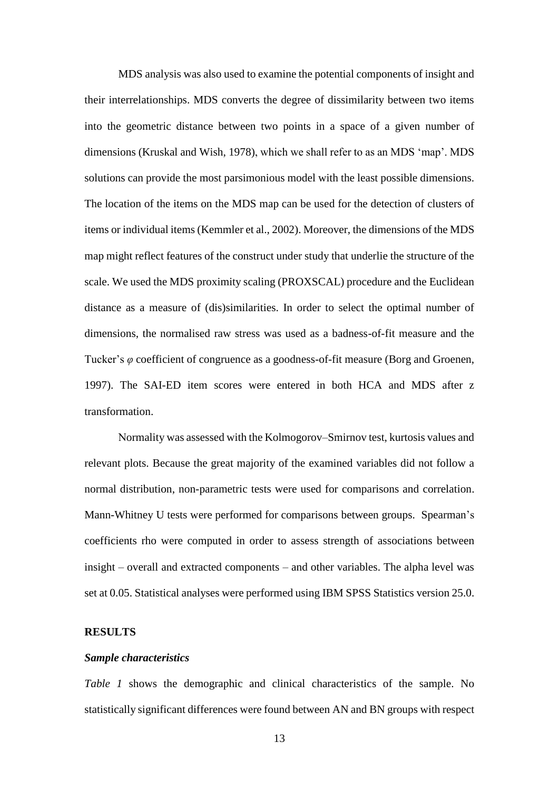MDS analysis was also used to examine the potential components of insight and their interrelationships. MDS converts the degree of dissimilarity between two items into the geometric distance between two points in a space of a given number of dimensions (Kruskal and Wish, 1978), which we shall refer to as an MDS 'map'. MDS solutions can provide the most parsimonious model with the least possible dimensions. The location of the items on the MDS map can be used for the detection of clusters of items or individual items (Kemmler et al., 2002). Moreover, the dimensions of the MDS map might reflect features of the construct under study that underlie the structure of the scale. We used the MDS proximity scaling (PROXSCAL) procedure and the Euclidean distance as a measure of (dis)similarities. In order to select the optimal number of dimensions, the normalised raw stress was used as a badness-of-fit measure and the Tucker's *φ* coefficient of congruence as a goodness-of-fit measure (Borg and Groenen, 1997). The SAI-ED item scores were entered in both HCA and MDS after z transformation.

Νormality was assessed with the Kolmogorov–Smirnov test, kurtosis values and relevant plots. Because the great majority of the examined variables did not follow a normal distribution, non-parametric tests were used for comparisons and correlation. Mann-Whitney U tests were performed for comparisons between groups. Spearman's coefficients rho were computed in order to assess strength of associations between insight – overall and extracted components – and other variables. The alpha level was set at 0.05. Statistical analyses were performed using IBM SPSS Statistics version 25.0.

## **RESULTS**

#### *Sample characteristics*

*Table 1* shows the demographic and clinical characteristics of the sample. No statistically significant differences were found between AN and BN groups with respect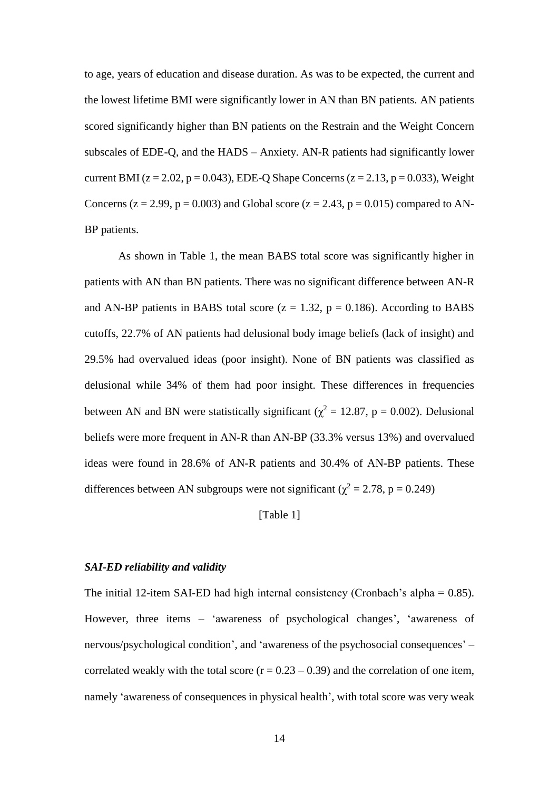to age, years of education and disease duration. As was to be expected, the current and the lowest lifetime BMI were significantly lower in AN than BN patients. AN patients scored significantly higher than BN patients on the Restrain and the Weight Concern subscales of EDE-Q, and the HADS – Anxiety. AN-R patients had significantly lower current BMI ( $z = 2.02$ ,  $p = 0.043$ ), EDE-Q Shape Concerns ( $z = 2.13$ ,  $p = 0.033$ ), Weight Concerns ( $z = 2.99$ ,  $p = 0.003$ ) and Global score ( $z = 2.43$ ,  $p = 0.015$ ) compared to AN-BP patients.

As shown in Table 1, the mean BABS total score was significantly higher in patients with AN than BN patients. There was no significant difference between AN-R and AN-BP patients in BABS total score  $(z = 1.32, p = 0.186)$ . According to BABS cutoffs, 22.7% of AN patients had delusional body image beliefs (lack of insight) and 29.5% had overvalued ideas (poor insight). None of BN patients was classified as delusional while 34% of them had poor insight. These differences in frequencies between AN and BN were statistically significant ( $\chi^2 = 12.87$ , p = 0.002). Delusional beliefs were more frequent in AN-R than AN-BP (33.3% versus 13%) and overvalued ideas were found in 28.6% of AN-R patients and 30.4% of AN-BP patients. These differences between AN subgroups were not significant ( $\chi^2 = 2.78$ , p = 0.249)

## [Table 1]

## *SAI-ED reliability and validity*

The initial 12-item SAI-ED had high internal consistency (Cronbach's alpha =  $0.85$ ). However, three items – 'awareness of psychological changes', 'awareness of nervous/psychological condition', and 'awareness of the psychosocial consequences' – correlated weakly with the total score  $(r = 0.23 - 0.39)$  and the correlation of one item, namely 'awareness of consequences in physical health', with total score was very weak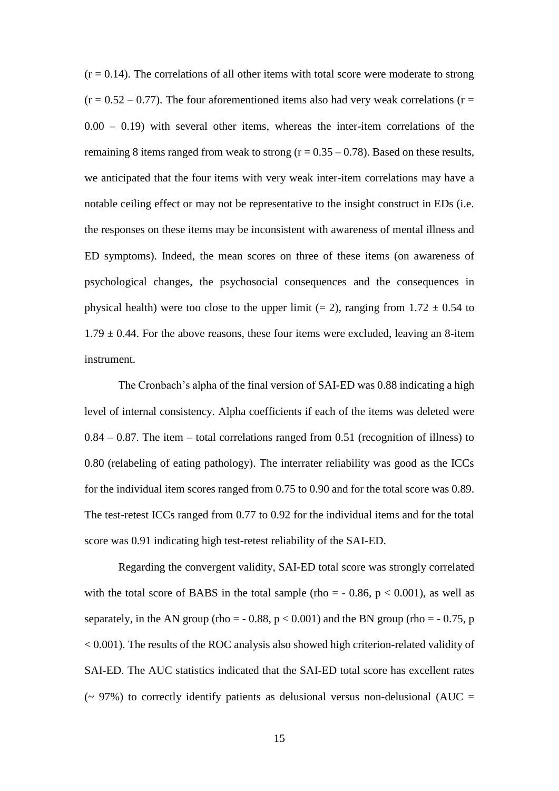$(r = 0.14)$ . The correlations of all other items with total score were moderate to strong  $(r = 0.52 - 0.77)$ . The four aforementioned items also had very weak correlations (r =  $0.00 - 0.19$ ) with several other items, whereas the inter-item correlations of the remaining 8 items ranged from weak to strong  $(r = 0.35 - 0.78)$ . Based on these results, we anticipated that the four items with very weak inter-item correlations may have a notable ceiling effect or may not be representative to the insight construct in EDs (i.e. the responses on these items may be inconsistent with awareness of mental illness and ED symptoms). Indeed, the mean scores on three of these items (on awareness of psychological changes, the psychosocial consequences and the consequences in physical health) were too close to the upper limit (= 2), ranging from  $1.72 \pm 0.54$  to  $1.79 \pm 0.44$ . For the above reasons, these four items were excluded, leaving an 8-item instrument.

The Cronbach's alpha of the final version of SAI-ED was 0.88 indicating a high level of internal consistency. Alpha coefficients if each of the items was deleted were  $0.84 - 0.87$ . The item – total correlations ranged from 0.51 (recognition of illness) to 0.80 (relabeling of eating pathology). The interrater reliability was good as the ICCs for the individual item scores ranged from 0.75 to 0.90 and for the total score was 0.89. The test-retest ICCs ranged from 0.77 to 0.92 for the individual items and for the total score was 0.91 indicating high test-retest reliability of the SAI-ED.

Regarding the convergent validity, SAI-ED total score was strongly correlated with the total score of BABS in the total sample (rho =  $-0.86$ , p < 0.001), as well as separately, in the AN group (rho =  $-0.88$ , p < 0.001) and the BN group (rho =  $-0.75$ , p < 0.001). The results of the ROC analysis also showed high criterion-related validity of SAI-ED. The AUC statistics indicated that the SAI-ED total score has excellent rates ( $\sim$  97%) to correctly identify patients as delusional versus non-delusional (AUC =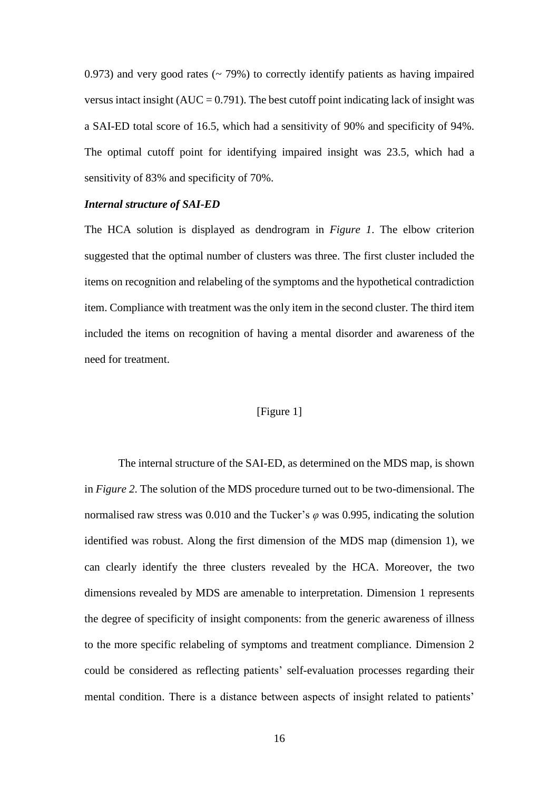0.973) and very good rates  $(2, 79\%)$  to correctly identify patients as having impaired versus intact insight  $(AUC = 0.791)$ . The best cutoff point indicating lack of insight was a SAI-ED total score of 16.5, which had a sensitivity of 90% and specificity of 94%. The optimal cutoff point for identifying impaired insight was 23.5, which had a sensitivity of 83% and specificity of 70%.

## *Internal structure of SAI-ED*

The HCA solution is displayed as dendrogram in *Figure 1*. The elbow criterion suggested that the optimal number of clusters was three. The first cluster included the items on recognition and relabeling of the symptoms and the hypothetical contradiction item. Compliance with treatment was the only item in the second cluster. The third item included the items on recognition of having a mental disorder and awareness of the need for treatment.

## [Figure 1]

The internal structure of the SAI-ED, as determined on the MDS map, is shown in *Figure 2*. The solution of the MDS procedure turned out to be two-dimensional. The normalised raw stress was 0.010 and the Tucker's *φ* was 0.995, indicating the solution identified was robust. Along the first dimension of the MDS map (dimension 1), we can clearly identify the three clusters revealed by the HCA. Moreover, the two dimensions revealed by MDS are amenable to interpretation. Dimension 1 represents the degree of specificity of insight components: from the generic awareness of illness to the more specific relabeling of symptoms and treatment compliance. Dimension 2 could be considered as reflecting patients' self-evaluation processes regarding their mental condition. There is a distance between aspects of insight related to patients'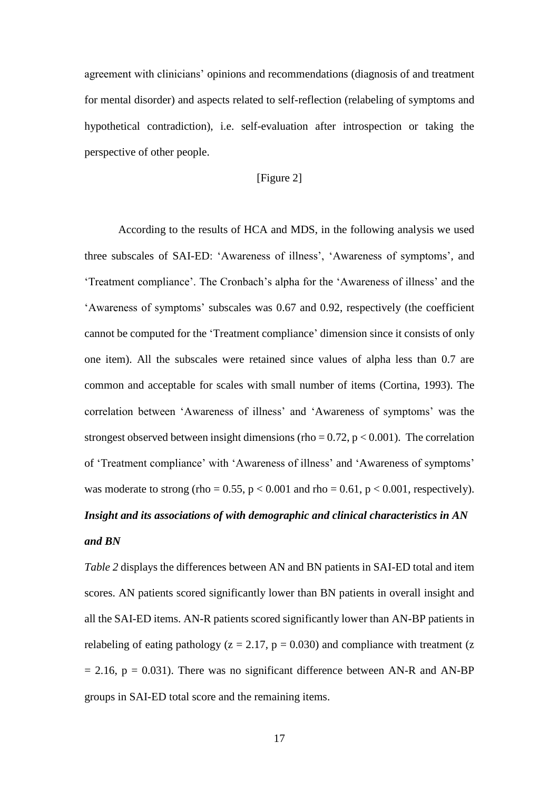agreement with clinicians' opinions and recommendations (diagnosis of and treatment for mental disorder) and aspects related to self-reflection (relabeling of symptoms and hypothetical contradiction), i.e. self-evaluation after introspection or taking the perspective of other people.

## [Figure 2]

According to the results of HCA and MDS, in the following analysis we used three subscales of SAI-ED: 'Awareness of illness', 'Awareness of symptoms', and 'Treatment compliance'. The Cronbach's alpha for the 'Awareness of illness' and the 'Awareness of symptoms' subscales was 0.67 and 0.92, respectively (the coefficient cannot be computed for the 'Treatment compliance' dimension since it consists of only one item). All the subscales were retained since values of alpha less than 0.7 are common and acceptable for scales with small number of items (Cortina, 1993). The correlation between 'Awareness of illness' and 'Awareness of symptoms' was the strongest observed between insight dimensions (rho =  $0.72$ , p <  $0.001$ ). The correlation of 'Treatment compliance' with 'Awareness of illness' and 'Awareness of symptoms' was moderate to strong (rho =  $0.55$ , p <  $0.001$  and rho =  $0.61$ , p <  $0.001$ , respectively). *Insight and its associations of with demographic and clinical characteristics in AN* 

## *and BN*

*Table 2* displays the differences between AN and BN patients in SAI-ED total and item scores. AN patients scored significantly lower than BN patients in overall insight and all the SAI-ED items. AN-R patients scored significantly lower than AN-BP patients in relabeling of eating pathology ( $z = 2.17$ ,  $p = 0.030$ ) and compliance with treatment ( $z = 1.17$  $= 2.16$ ,  $p = 0.031$ ). There was no significant difference between AN-R and AN-BP groups in SAI-ED total score and the remaining items.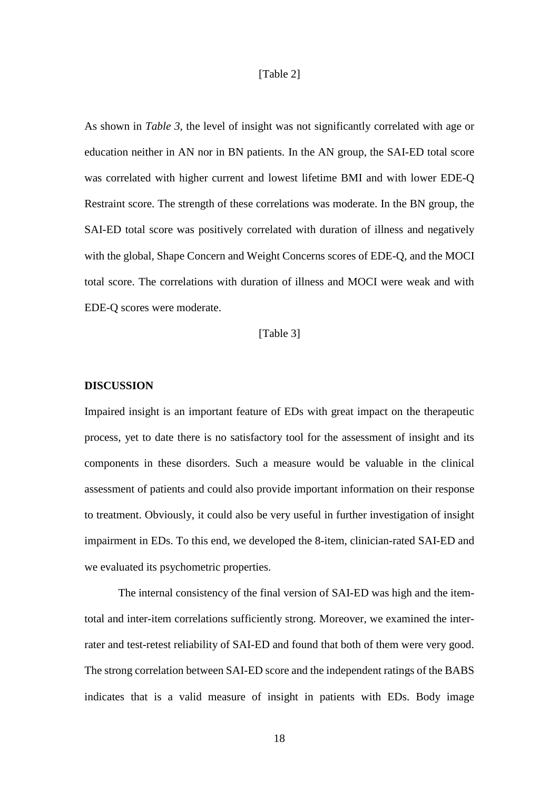#### [Table 2]

As shown in *Table 3*, the level of insight was not significantly correlated with age or education neither in AN nor in BN patients. In the AN group, the SAI-ED total score was correlated with higher current and lowest lifetime BMI and with lower EDE-Q Restraint score. The strength of these correlations was moderate. In the BN group, the SAI-ED total score was positively correlated with duration of illness and negatively with the global, Shape Concern and Weight Concerns scores of EDE-Q, and the MOCI total score. The correlations with duration of illness and MOCI were weak and with EDE-Q scores were moderate.

[Table 3]

## **DISCUSSION**

Impaired insight is an important feature of EDs with great impact on the therapeutic process, yet to date there is no satisfactory tool for the assessment of insight and its components in these disorders. Such a measure would be valuable in the clinical assessment of patients and could also provide important information on their response to treatment. Obviously, it could also be very useful in further investigation of insight impairment in EDs. To this end, we developed the 8-item, clinician-rated SAI-ED and we evaluated its psychometric properties.

The internal consistency of the final version of SAI-ED was high and the itemtotal and inter-item correlations sufficiently strong. Moreover, we examined the interrater and test-retest reliability of SAI-ED and found that both of them were very good. The strong correlation between SAI-ED score and the independent ratings of the BABS indicates that is a valid measure of insight in patients with EDs. Body image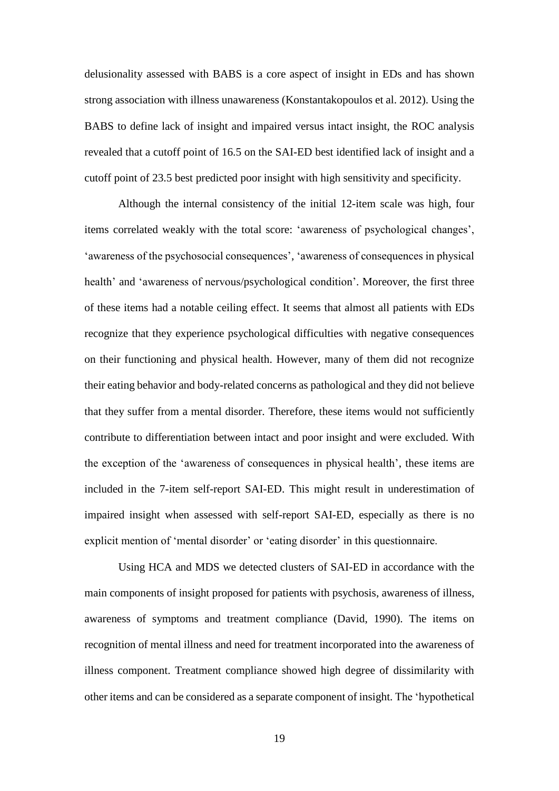delusionality assessed with BABS is a core aspect of insight in EDs and has shown strong association with illness unawareness (Konstantakopoulos et al. 2012). Using the BABS to define lack of insight and impaired versus intact insight, the ROC analysis revealed that a cutoff point of 16.5 on the SAI-ED best identified lack of insight and a cutoff point of 23.5 best predicted poor insight with high sensitivity and specificity.

Although the internal consistency of the initial 12-item scale was high, four items correlated weakly with the total score: 'awareness of psychological changes', 'awareness of the psychosocial consequences', 'awareness of consequences in physical health' and 'awareness of nervous/psychological condition'. Moreover, the first three of these items had a notable ceiling effect. It seems that almost all patients with EDs recognize that they experience psychological difficulties with negative consequences on their functioning and physical health. However, many of them did not recognize their eating behavior and body-related concerns as pathological and they did not believe that they suffer from a mental disorder. Therefore, these items would not sufficiently contribute to differentiation between intact and poor insight and were excluded. With the exception of the 'awareness of consequences in physical health', these items are included in the 7-item self-report SAI-ED. This might result in underestimation of impaired insight when assessed with self-report SAI-ED, especially as there is no explicit mention of 'mental disorder' or 'eating disorder' in this questionnaire.

Using HCA and MDS we detected clusters of SAI-ED in accordance with the main components of insight proposed for patients with psychosis, awareness of illness, awareness of symptoms and treatment compliance (David, 1990). The items on recognition of mental illness and need for treatment incorporated into the awareness of illness component. Treatment compliance showed high degree of dissimilarity with other items and can be considered as a separate component of insight. The 'hypothetical

19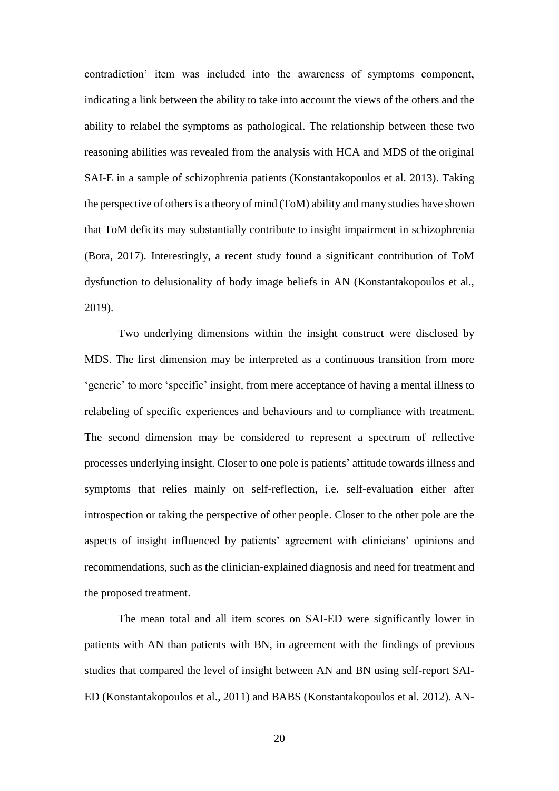contradiction' item was included into the awareness of symptoms component, indicating a link between the ability to take into account the views of the others and the ability to relabel the symptoms as pathological. The relationship between these two reasoning abilities was revealed from the analysis with HCA and MDS of the original SAI-E in a sample of schizophrenia patients (Konstantakopoulos et al. 2013). Taking the perspective of others is a theory of mind (ToM) ability and many studies have shown that ToM deficits may substantially contribute to insight impairment in schizophrenia (Bora, 2017). Interestingly, a recent study found a significant contribution of ToM dysfunction to delusionality of body image beliefs in AN (Konstantakopoulos et al., 2019).

Two underlying dimensions within the insight construct were disclosed by MDS. The first dimension may be interpreted as a continuous transition from more 'generic' to more 'specific' insight, from mere acceptance of having a mental illness to relabeling of specific experiences and behaviours and to compliance with treatment. The second dimension may be considered to represent a spectrum of reflective processes underlying insight. Closer to one pole is patients' attitude towards illness and symptoms that relies mainly on self-reflection, i.e. self-evaluation either after introspection or taking the perspective of other people. Closer to the other pole are the aspects of insight influenced by patients' agreement with clinicians' opinions and recommendations, such as the clinician-explained diagnosis and need for treatment and the proposed treatment.

The mean total and all item scores on SAI-ED were significantly lower in patients with AN than patients with BN, in agreement with the findings of previous studies that compared the level of insight between AN and BN using self-report SAI-ED (Konstantakopoulos et al., 2011) and BABS (Konstantakopoulos et al. 2012). AN-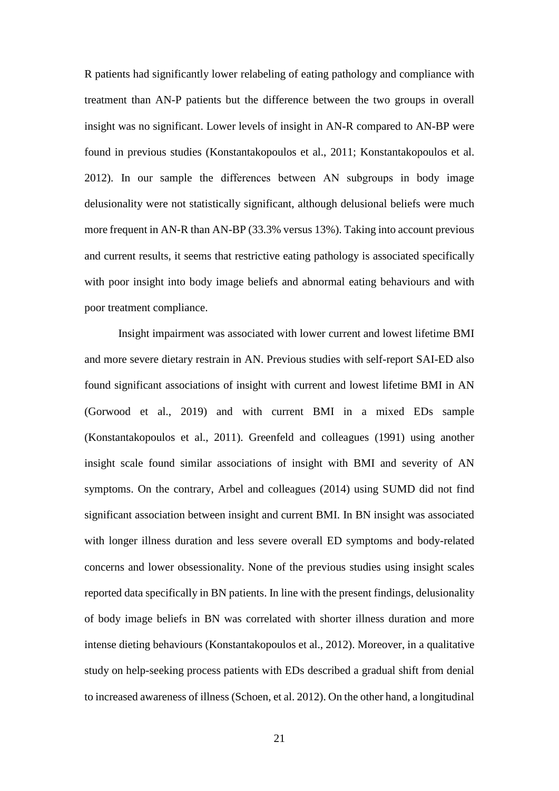R patients had significantly lower relabeling of eating pathology and compliance with treatment than AN-P patients but the difference between the two groups in overall insight was no significant. Lower levels of insight in AN-R compared to AN-BP were found in previous studies (Konstantakopoulos et al., 2011; Konstantakopoulos et al. 2012). In our sample the differences between AΝ subgroups in body image delusionality were not statistically significant, although delusional beliefs were much more frequent in AN-R than AN-BP (33.3% versus 13%). Taking into account previous and current results, it seems that restrictive eating pathology is associated specifically with poor insight into body image beliefs and abnormal eating behaviours and with poor treatment compliance.

Insight impairment was associated with lower current and lowest lifetime BMI and more severe dietary restrain in AN. Previous studies with self-report SAI-ED also found significant associations of insight with current and lowest lifetime BMI in AN (Gorwood et al., 2019) and with current BMI in a mixed EDs sample (Konstantakopoulos et al., 2011). Greenfeld and colleagues (1991) using another insight scale found similar associations of insight with BMI and severity of AN symptoms. On the contrary, Arbel and colleagues (2014) using SUMD did not find significant association between insight and current BMI. In BN insight was associated with longer illness duration and less severe overall ED symptoms and body-related concerns and lower obsessionality. None of the previous studies using insight scales reported data specifically in BN patients. In line with the present findings, delusionality of body image beliefs in BN was correlated with shorter illness duration and more intense dieting behaviours (Konstantakopoulos et al., 2012). Moreover, in a qualitative study on help-seeking process patients with EDs described a gradual shift from denial to increased awareness of illness (Schoen, et al. 2012). On the other hand, a longitudinal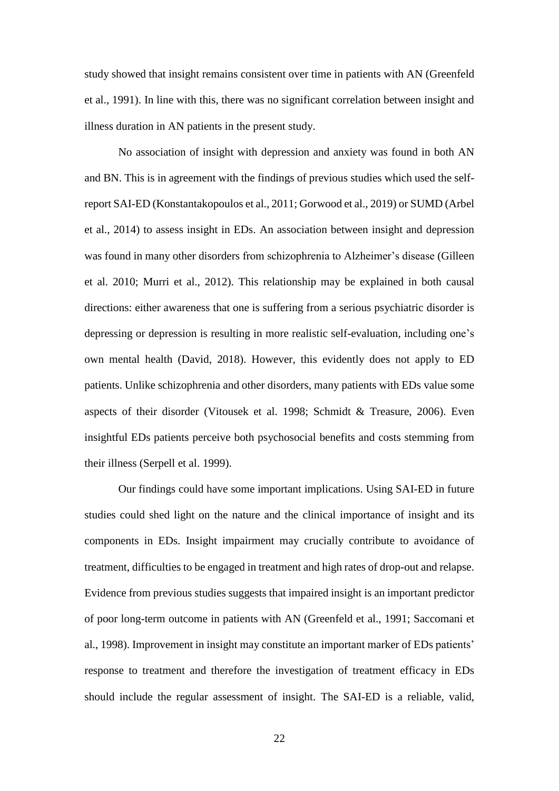study showed that insight remains consistent over time in patients with AN (Greenfeld et al., 1991). In line with this, there was no significant correlation between insight and illness duration in AN patients in the present study.

No association of insight with depression and anxiety was found in both AN and BN. This is in agreement with the findings of previous studies which used the selfreport SAI-ED (Konstantakopoulos et al., 2011; Gorwood et al., 2019) or SUMD (Arbel et al., 2014) to assess insight in EDs. An association between insight and depression was found in many other disorders from schizophrenia to Alzheimer's disease (Gilleen et al. 2010; Murri et al., 2012). This relationship may be explained in both causal directions: either awareness that one is suffering from a serious psychiatric disorder is depressing or depression is resulting in more realistic self-evaluation, including one's own mental health (David, 2018). However, this evidently does not apply to ED patients. Unlike schizophrenia and other disorders, many patients with EDs value some aspects of their disorder (Vitousek et al. 1998; Schmidt & Treasure, 2006). Even insightful EDs patients perceive both psychosocial benefits and costs stemming from their illness (Serpell et al. 1999).

Our findings could have some important implications. Using SAI-ED in future studies could shed light on the nature and the clinical importance of insight and its components in EDs. Insight impairment may crucially contribute to avoidance of treatment, difficulties to be engaged in treatment and high rates of drop-out and relapse. Evidence from previous studies suggests that impaired insight is an important predictor of poor long-term outcome in patients with AN (Greenfeld et al., 1991; Saccomani et al., 1998). Improvement in insight may constitute an important marker of EDs patients' response to treatment and therefore the investigation of treatment efficacy in EDs should include the regular assessment of insight. The SAI-ED is a reliable, valid,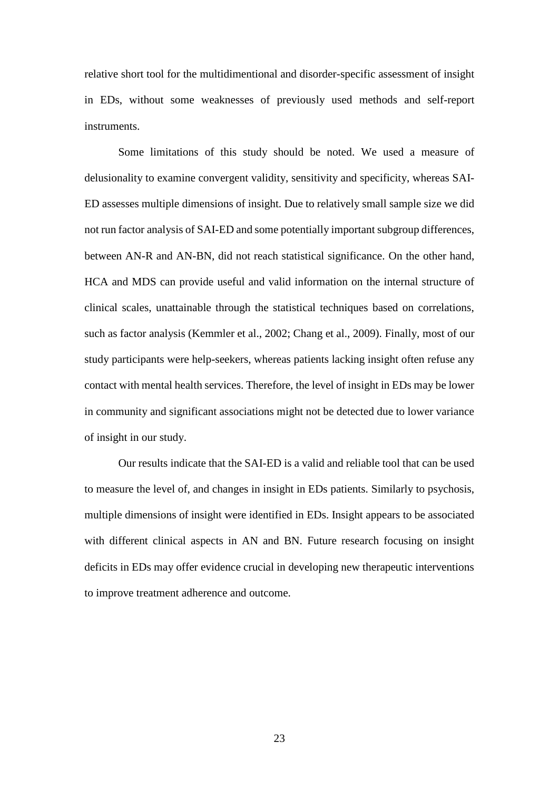relative short tool for the multidimentional and disorder-specific assessment of insight in EDs, without some weaknesses of previously used methods and self-report instruments.

Some limitations of this study should be noted. We used a measure of delusionality to examine convergent validity, sensitivity and specificity, whereas SAI-ED assesses multiple dimensions of insight. Due to relatively small sample size we did not run factor analysis of SAI-ED and some potentially important subgroup differences, between AN-R and AN-BN, did not reach statistical significance. On the other hand, HCA and MDS can provide useful and valid information on the internal structure of clinical scales, unattainable through the statistical techniques based on correlations, such as factor analysis (Kemmler et al., 2002; Chang et al., 2009). Finally, most of our study participants were help-seekers, whereas patients lacking insight often refuse any contact with mental health services. Therefore, the level of insight in EDs may be lower in community and significant associations might not be detected due to lower variance of insight in our study.

Our results indicate that the SAI-ED is a valid and reliable tool that can be used to measure the level of, and changes in insight in EDs patients. Similarly to psychosis, multiple dimensions of insight were identified in EDs. Insight appears to be associated with different clinical aspects in AN and BN. Future research focusing on insight deficits in EDs may offer evidence crucial in developing new therapeutic interventions to improve treatment adherence and outcome.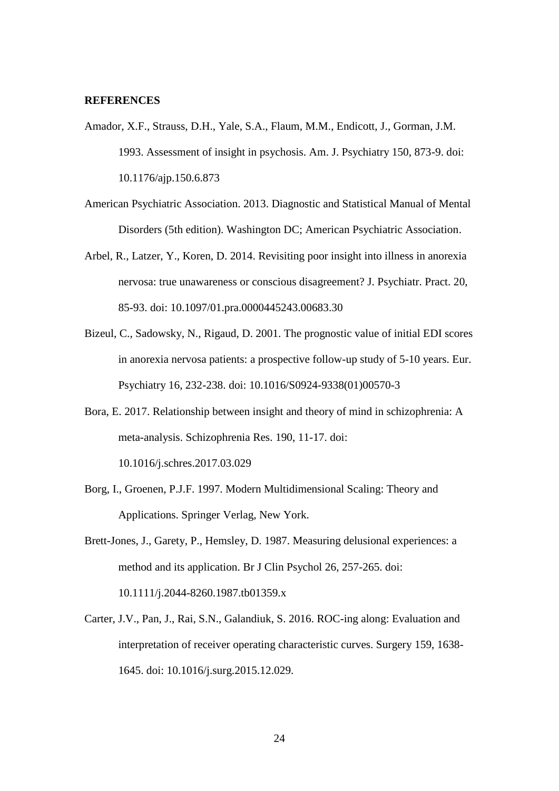#### **REFERENCES**

- Amador, X.F., Strauss, D.H., Yale, S.A., Flaum, M.M., Endicott, J., Gorman, J.M. 1993. Assessment of insight in psychosis. Am. J. Psychiatry 150, 873-9. doi: 10.1176/ajp.150.6.873
- American Psychiatric Association. 2013. Diagnostic and Statistical Manual of Mental Disorders (5th edition). Washington DC; American Psychiatric Association.
- Arbel, R., Latzer, Y., Koren, D. 2014. Revisiting poor insight into illness in anorexia nervosa: true unawareness or conscious disagreement? J. Psychiatr. Pract. 20, 85-93. doi: 10.1097/01.pra.0000445243.00683.30
- Bizeul, C., Sadowsky, N., Rigaud, D. 2001. The prognostic value of initial EDI scores in anorexia nervosa patients: a prospective follow-up study of 5-10 years. Eur. Psychiatry 16, 232-238. doi: 10.1016/S0924-9338(01)00570-3
- Bora, E. 2017. Relationship between insight and theory of mind in schizophrenia: A meta-analysis. Schizophrenia Res. 190, 11-17. doi: 10.1016/j.schres.2017.03.029
- Borg, I., Groenen, P.J.F. 1997. Modern Multidimensional Scaling: Theory and Applications. Springer Verlag, New York.
- Brett-Jones, J., Garety, P., Hemsley, D. 1987. Measuring delusional experiences: a method and its application. Br J Clin Psychol 26, 257-265. doi: 10.1111/j.2044-8260.1987.tb01359.x
- Carter, J.V., Pan, J., Rai, S.N., Galandiuk, S. 2016. ROC-ing along: Evaluation and interpretation of receiver operating characteristic curves. Surgery 159, 1638- 1645. doi: 10.1016/j.surg.2015.12.029.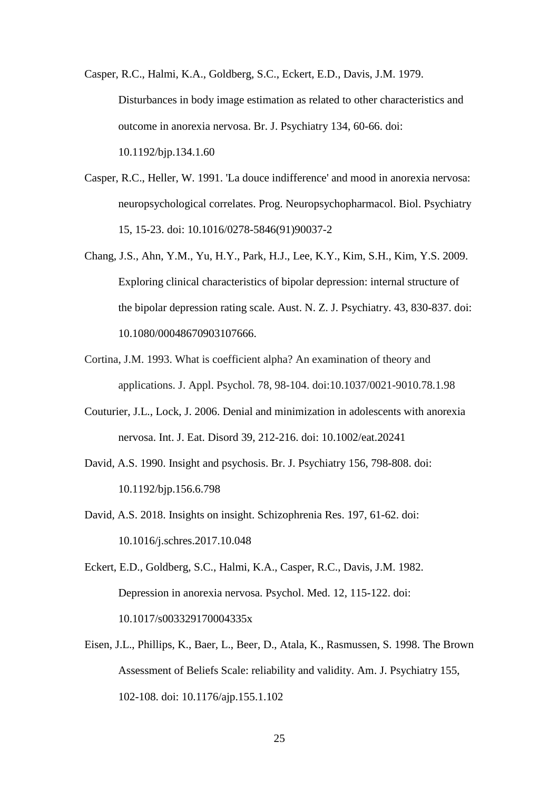Casper, R.C., Halmi, K.A., Goldberg, S.C., Eckert, E.D., Davis, J.M. 1979. Disturbances in body image estimation as related to other characteristics and outcome in anorexia nervosa. Br. J. Psychiatry 134, 60-66. doi: 10.1192/bjp.134.1.60

- Casper, R.C., Heller, W. 1991. 'La douce indifference' and mood in anorexia nervosa: neuropsychological correlates. Prog. Neuropsychopharmacol. Biol. Psychiatry 15, 15-23. doi: 10.1016/0278-5846(91)90037-2
- Chang, J.S., Ahn, Y.M., Yu, H.Y., Park, H.J., Lee, K.Y., Kim, S.H., Kim, Y.S. 2009. Exploring clinical characteristics of bipolar depression: internal structure of the bipolar depression rating scale. Aust. N. Z. J. Psychiatry. 43, 830-837. doi: 10.1080/00048670903107666.
- Cortina, J.M. 1993. What is coefficient alpha? An examination of theory and applications. J. Appl. Psychol. 78, 98-104. doi:10.1037/0021-9010.78.1.98
- Couturier, J.L., Lock, J. 2006. Denial and minimization in adolescents with anorexia nervosa. Int. J. Eat. Disord 39, 212-216. doi: 10.1002/eat.20241
- David, A.S. 1990. Insight and psychosis. Br. J. Psychiatry 156, 798-808. doi: 10.1192/bjp.156.6.798
- David, A.S. 2018. Insights on insight. Schizophrenia Res. 197, 61-62. doi: 10.1016/j.schres.2017.10.048
- Eckert, E.D., Goldberg, S.C., Halmi, K.A., Casper, R.C., Davis, J.M. 1982. Depression in anorexia nervosa. Psychol. Med. 12, 115-122. doi: 10.1017/s003329170004335x
- Eisen, J.L., Phillips, K., Baer, L., Beer, D., Atala, K., Rasmussen, S. 1998. The Brown Assessment of Beliefs Scale: reliability and validity. Am. J. Psychiatry 155, 102-108. doi: 10.1176/ajp.155.1.102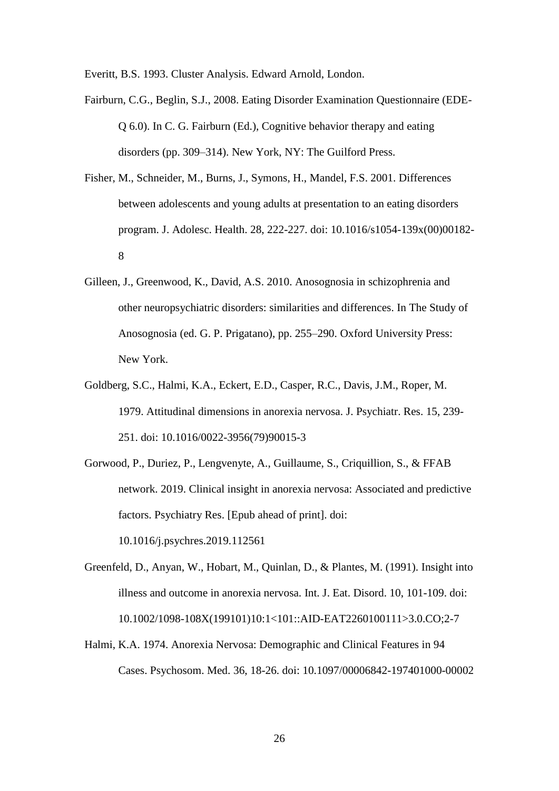Everitt, B.S. 1993. Cluster Analysis. Edward Arnold, London.

Fairburn, C.G., Beglin, S.J., 2008. Eating Disorder Examination Questionnaire (EDE-Q 6.0). In C. G. Fairburn (Ed.), Cognitive behavior therapy and eating disorders (pp. 309–314). New York, NY: The Guilford Press.

- Fisher, M., Schneider, M., Burns, J., Symons, H., Mandel, F.S. 2001. Differences between adolescents and young adults at presentation to an eating disorders program. J. Adolesc. Health. 28, 222-227. doi: 10.1016/s1054-139x(00)00182- 8
- Gilleen, J., Greenwood, K., David, A.S. 2010. Anosognosia in schizophrenia and other neuropsychiatric disorders: similarities and differences. In The Study of Anosognosia (ed. G. P. Prigatano), pp. 255–290. Oxford University Press: New York.
- Goldberg, S.C., Halmi, K.A., Eckert, E.D., Casper, R.C., Davis, J.M., Roper, M. 1979. Attitudinal dimensions in anorexia nervosa. J. Psychiatr. Res. 15, 239- 251. doi: 10.1016/0022-3956(79)90015-3
- Gorwood, P., Duriez, P., Lengvenyte, A., Guillaume, S., Criquillion, S., & FFAB network. 2019. Clinical insight in anorexia nervosa: Associated and predictive factors. Psychiatry Res. [Epub ahead of print]. doi: 10.1016/j.psychres.2019.112561
- Greenfeld, D., Anyan, W., Hobart, M., Quinlan, D., & Plantes, M. (1991). Insight into illness and outcome in anorexia nervosa. Int. J. Eat. Disord. 10, 101-109. doi: 10.1002/1098-108X(199101)10:1<101::AID-EAT2260100111>3.0.CO;2-7
- Halmi, K.A. 1974. Anorexia Nervosa: Demographic and Clinical Features in 94 Cases. Psychosom. Med. 36, 18-26. doi: 10.1097/00006842-197401000-00002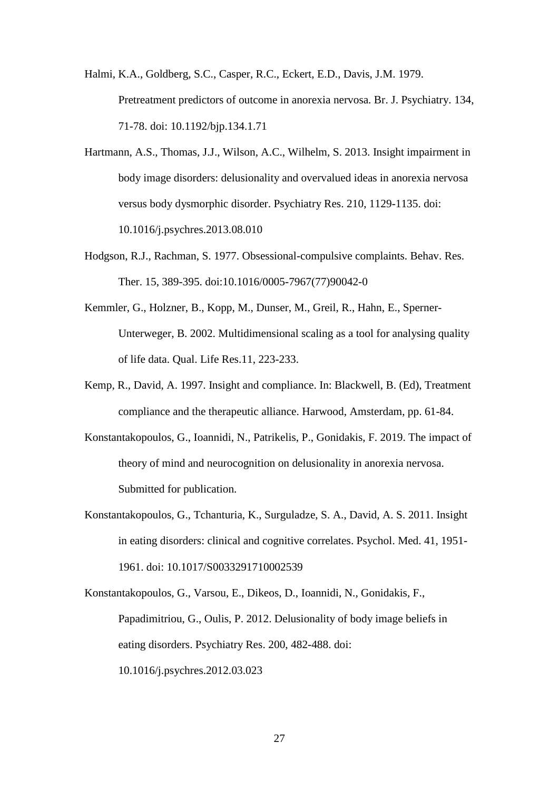Halmi, K.A., Goldberg, S.C., Casper, R.C., Eckert, E.D., Davis, J.M. 1979. Pretreatment predictors of outcome in anorexia nervosa. Br. J. Psychiatry. 134, 71-78. doi: 10.1192/bjp.134.1.71

- Hartmann, A.S., Thomas, J.J., Wilson, A.C., Wilhelm, S. 2013. Insight impairment in body image disorders: delusionality and overvalued ideas in anorexia nervosa versus body dysmorphic disorder. Psychiatry Res. 210, 1129-1135. doi: 10.1016/j.psychres.2013.08.010
- Hodgson, R.J., Rachman, S. 1977. Obsessional-compulsive complaints. Behav. Res. Ther. 15, 389-395. doi:10.1016/0005-7967(77)90042-0
- Kemmler, G., Holzner, B., Kopp, M., Dunser, M., Greil, R., Hahn, E., Sperner-Unterweger, B. 2002. Multidimensional scaling as a tool for analysing quality of life data. Qual. Life Res.11, 223-233.
- Kemp, R., David, A. 1997. Insight and compliance. In: Blackwell, B. (Ed), Treatment compliance and the therapeutic alliance. Harwood, Amsterdam, pp. 61-84.
- Konstantakopoulos, G., Ioannidi, N., Patrikelis, P., Gonidakis, F. 2019. The impact of theory of mind and neurocognition on delusionality in anorexia nervosa. Submitted for publication.
- Konstantakopoulos, G., Tchanturia, K., Surguladze, S. A., David, A. S. 2011. Insight in eating disorders: clinical and cognitive correlates. Psychol. Med. 41, 1951- 1961. doi: 10.1017/S0033291710002539

Konstantakopoulos, G., Varsou, E., Dikeos, D., Ioannidi, N., Gonidakis, F., Papadimitriou, G., Oulis, P. 2012. Delusionality of body image beliefs in eating disorders. Psychiatry Res. 200, 482-488. doi: 10.1016/j.psychres.2012.03.023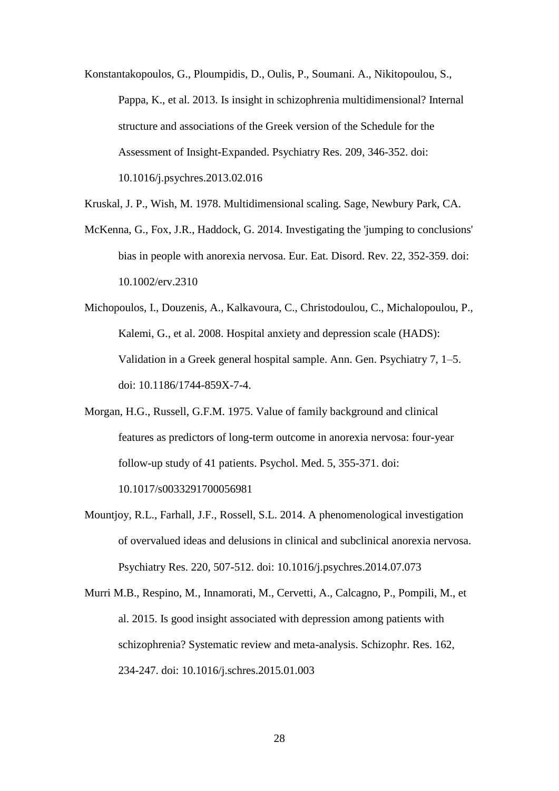Konstantakopoulos, G., Ploumpidis, D., Oulis, P., Soumani. A., Nikitopoulou, S., Pappa, K., et al. 2013. Is insight in schizophrenia multidimensional? Internal structure and associations of the Greek version of the Schedule for the Assessment of Insight-Expanded. Psychiatry Res. 209, 346-352. doi: 10.1016/j.psychres.2013.02.016

Kruskal, J. P., Wish, M. 1978. Multidimensional scaling. Sage, Newbury Park, CA.

McKenna, G., Fox, J.R., Haddock, G. 2014. Investigating the 'jumping to conclusions' bias in people with anorexia nervosa. Eur. Eat. Disord. Rev. 22, 352-359. doi: 10.1002/erv.2310

Michopoulos, I., Douzenis, A., Kalkavoura, C., Christodoulou, C., Michalopoulou, P., Kalemi, G., et al. 2008. Hospital anxiety and depression scale (HADS): Validation in a Greek general hospital sample. Ann. Gen. Psychiatry 7, 1–5. doi: 10.1186/1744-859X-7-4.

- Morgan, H.G., Russell, G.F.M. 1975. Value of family background and clinical features as predictors of long-term outcome in anorexia nervosa: four-year follow-up study of 41 patients. Psychol. Med. 5, 355-371. doi: 10.1017/s0033291700056981
- Mountjoy, R.L., Farhall, J.F., Rossell, S.L. 2014. A phenomenological investigation of overvalued ideas and delusions in clinical and subclinical anorexia nervosa. Psychiatry Res. 220, 507-512. doi: 10.1016/j.psychres.2014.07.073
- Murri M.B., Respino, M., Innamorati, M., Cervetti, A., Calcagno, P., Pompili, M., et al. 2015. Is good insight associated with depression among patients with schizophrenia? Systematic review and meta-analysis. Schizophr. Res. 162, 234-247. doi: 10.1016/j.schres.2015.01.003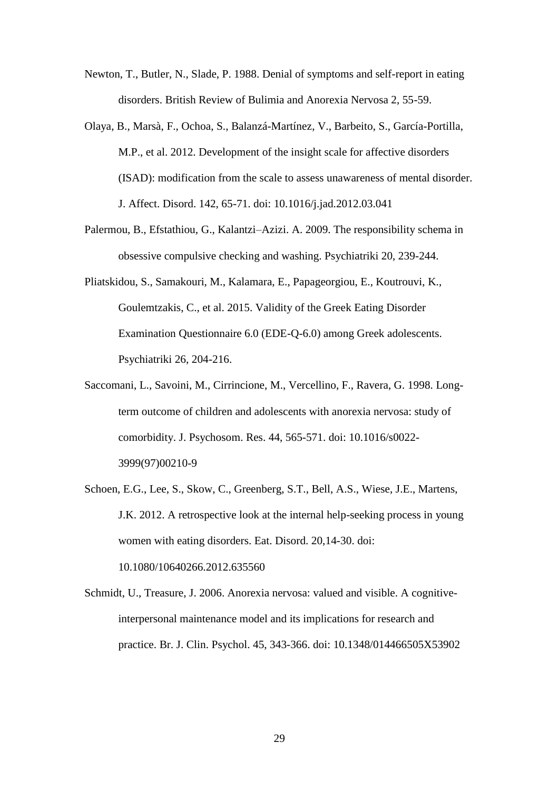- Newton, T., Butler, N., Slade, P. 1988. Denial of symptoms and self-report in eating disorders. British Review of Bulimia and Anorexia Nervosa 2, 55-59.
- Olaya, B., Marsà, F., Ochoa, S., Balanzá-Martínez, V., Barbeito, S., García-Portilla, M.P., et al. 2012. Development of the insight scale for affective disorders (ISAD): modification from the scale to assess unawareness of mental disorder. J. Affect. Disord. 142, 65-71. doi: 10.1016/j.jad.2012.03.041
- Palermou, B., Efstathiou, G., Kalantzi–Azizi. A. 2009. The responsibility schema in obsessive compulsive checking and washing. Psychiatriki 20, 239-244.
- Pliatskidou, S., Samakouri, M., Kalamara, E., Papageorgiou, E., Koutrouvi, K., Goulemtzakis, C., et al. 2015. Validity of the Greek Eating Disorder Examination Questionnaire 6.0 (EDE-Q-6.0) among Greek adolescents. Psychiatriki 26, 204-216.
- Saccomani, L., Savoini, M., Cirrincione, M., Vercellino, F., Ravera, G. 1998. Longterm outcome of children and adolescents with anorexia nervosa: study of comorbidity. J. Psychosom. Res. 44, 565-571. doi: 10.1016/s0022- 3999(97)00210-9
- Schoen, E.G., Lee, S., Skow, C., Greenberg, S.T., Bell, A.S., Wiese, J.E., Martens, J.K. 2012. A retrospective look at the internal help-seeking process in young women with eating disorders. Eat. Disord. 20,14-30. doi: 10.1080/10640266.2012.635560
- Schmidt, U., Treasure, J. 2006. Anorexia nervosa: valued and visible. A cognitiveinterpersonal maintenance model and its implications for research and practice. Br. J. Clin. Psychol. 45, 343-366. doi: 10.1348/014466505X53902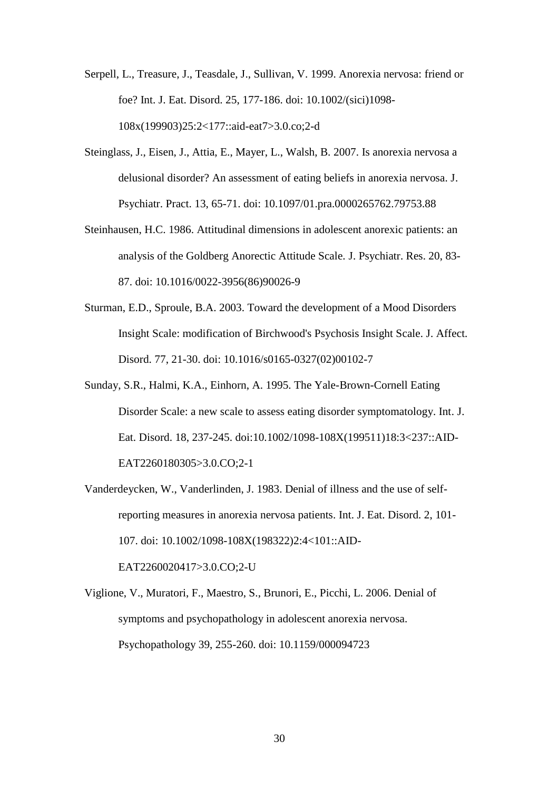- Serpell, L., Treasure, J., Teasdale, J., Sullivan, V. 1999. Anorexia nervosa: friend or foe? Int. J. Eat. Disord. 25, 177-186. doi: 10.1002/(sici)1098- 108x(199903)25:2<177::aid-eat7>3.0.co;2-d
- Steinglass, J., Eisen, J., Attia, E., Mayer, L., Walsh, B. 2007. Is anorexia nervosa a delusional disorder? An assessment of eating beliefs in anorexia nervosa. J. Psychiatr. Pract. 13, 65-71. doi: 10.1097/01.pra.0000265762.79753.88
- Steinhausen, H.C. 1986. Attitudinal dimensions in adolescent anorexic patients: an analysis of the Goldberg Anorectic Attitude Scale. J. Psychiatr. Res. 20, 83- 87. doi: 10.1016/0022-3956(86)90026-9
- Sturman, E.D., Sproule, B.A. 2003. Toward the development of a Mood Disorders Insight Scale: modification of Birchwood's Psychosis Insight Scale. J. Affect. Disord. 77, 21-30. doi: 10.1016/s0165-0327(02)00102-7
- Sunday, S.R., Halmi, K.A., Einhorn, A. 1995. The Yale-Brown-Cornell Eating Disorder Scale: a new scale to assess eating disorder symptomatology. Int. J. Eat. Disord. 18, 237-245. doi:10.1002/1098-108X(199511)18:3<237::AID-EAT2260180305>3.0.CO;2-1
- Vanderdeycken, W., Vanderlinden, J. 1983. Denial of illness and the use of selfreporting measures in anorexia nervosa patients. Int. J. Eat. Disord. 2, 101- 107. doi: 10.1002/1098-108X(198322)2:4<101::AID-EAT2260020417>3.0.CO;2-U
- Viglione, V., Muratori, F., Maestro, S., Brunori, E., Picchi, L. 2006. Denial of symptoms and psychopathology in adolescent anorexia nervosa. Psychopathology 39, 255-260. doi: 10.1159/000094723